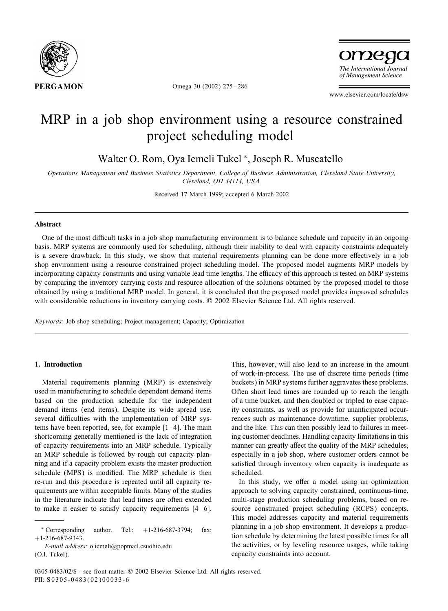

Omega 30 (2002) 275 – 286

omega The International Journal of Management Science

www.elsevier.com/locate/dsw

## MRP in a job shop environment using a resource constrained project scheduling model

Walter O. Rom, Oya Icmeli Tukel <sup>∗</sup>, Joseph R. Muscatello

*Operations Management and Business Statistics Department, College of Business Administration, Cleveland State University, Cleveland, OH 44114, USA*

Received 17 March 1999; accepted 6 March 2002

#### Abstract

One of the most difficult tasks in a job shop manufacturing environment is to balance schedule and capacity in an ongoing basis. MRP systems are commonly used for scheduling, although their inability to deal with capacity constraints adequately is a severe drawback. In this study, we show that material requirements planning can be done more effectively in a job shop environment using a resource constrained project scheduling model. The proposed model augments MRP models by incorporating capacity constraints and using variable lead time lengths. The efficacy of this approach is tested on MRP systems by comparing the inventory carrying costs and resource allocation of the solutions obtained by the proposed model to those obtained by using a traditional MRP model. In general, it is concluded that the proposed model provides improved schedules with considerable reductions in inventory carrying costs. © 2002 Elsevier Science Ltd. All rights reserved.

*Keywords:* Job shop scheduling; Project management; Capacity; Optimization

### 1. Introduction

Material requirements planning (MRP) is extensively used in manufacturing to schedule dependent demand items based on the production schedule for the independent demand items (end items). Despite its wide spread use, several difficulties with the implementation of MRP systems have been reported, see, for example  $[1-4]$ . The main shortcoming generally mentioned is the lack of integration of capacity requirements into an MRP schedule. Typically an MRP schedule is followed by rough cut capacity planning and if a capacity problem exists the master production schedule (MPS) is modified. The MRP schedule is then re-run and this procedure is repeated until all capacity requirements are within acceptable limits. Many of the studies in the literature indicate that lead times are often extended to make it easier to satisfy capacity requirements  $[4-6]$ .

*E-mail address:* o.icmeli@popmail.csuohio.edu (O.I. Tukel).

This, however, will also lead to an increase in the amount of work-in-process. The use of discrete time periods (time buckets) in MRP systems further aggravates these problems. Often short lead times are rounded up to reach the length of a time bucket, and then doubled or tripled to ease capacity constraints, as well as provide for unanticipated occurrences such as maintenance downtime, supplier problems, and the like. This can then possibly lead to failures in meeting customer deadlines. Handling capacity limitations in this manner can greatly affect the quality of the MRP schedules, especially in a job shop, where customer orders cannot be satisfied through inventory when capacity is inadequate as scheduled.

In this study, we offer a model using an optimization approach to solving capacity constrained, continuous-time, multi-stage production scheduling problems, based on resource constrained project scheduling (RCPS) concepts. This model addresses capacity and material requirements planning in a job shop environment. It develops a production schedule by determining the latest possible times for all the activities, or by leveling resource usages, while taking capacity constraints into account.

 $*$  Corresponding author. Tel.:  $+1-216-687-3794$ : fax: +1-216-687-9343.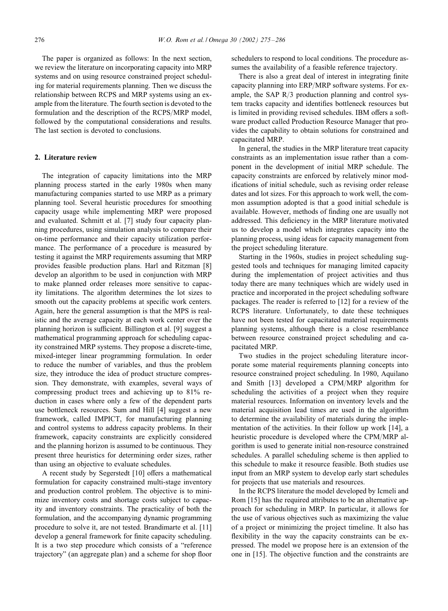The paper is organized as follows: In the next section, we review the literature on incorporating capacity into MRP systems and on using resource constrained project scheduling for material requirements planning. Then we discuss the relationship between RCPS and MRP systems using an example from the literature. The fourth section is devoted to the formulation and the description of the RCPS/MRP model, followed by the computational considerations and results. The last section is devoted to conclusions.

#### 2. Literature review

The integration of capacity limitations into the MRP planning process started in the early 1980s when many manufacturing companies started to use MRP as a primary planning tool. Several heuristic procedures for smoothing capacity usage while implementing MRP were proposed and evaluated. Schmitt et al. [7] study four capacity planning procedures, using simulation analysis to compare their on-time performance and their capacity utilization performance. The performance of a procedure is measured by testing it against the MRP requirements assuming that MRP provides feasible production plans. Harl and Ritzman [8] develop an algorithm to be used in conjunction with MRP to make planned order releases more sensitive to capacity limitations. The algorithm determines the lot sizes to smooth out the capacity problems at specific work centers. Again, here the general assumption is that the MPS is realistic and the average capacity at each work center over the planning horizon is sufficient. Billington et al. [9] suggest a mathematical programming approach for scheduling capacity constrained MRP systems. They propose a discrete-time, mixed-integer linear programming formulation. In order to reduce the number of variables, and thus the problem size, they introduce the idea of product structure compression. They demonstrate, with examples, several ways of compressing product trees and achieving up to 81% reduction in cases where only a few of the dependent parts use bottleneck resources. Sum and Hill [4] suggest a new framework, called IMPICT, for manufacturing planning and control systems to address capacity problems. In their framework, capacity constraints are explicitly considered and the planning horizon is assumed to be continuous. They present three heuristics for determining order sizes, rather than using an objective to evaluate schedules.

A recent study by Segerstedt  $[10]$  offers a mathematical formulation for capacity constrained multi-stage inventory and production control problem. The objective is to minimize inventory costs and shortage costs subject to capacity and inventory constraints. The practicality of both the formulation, and the accompanying dynamic programming procedure to solve it, are not tested. Brandimarte et al. [11] develop a general framework for finite capacity scheduling. It is a two step procedure which consists of a "reference trajectory" (an aggregate plan) and a scheme for shop Ioor

schedulers to respond to local conditions. The procedure assumes the availability of a feasible reference trajectory.

There is also a great deal of interest in integrating finite capacity planning into ERP/MRP software systems. For example, the SAP  $R/3$  production planning and control system tracks capacity and identifies bottleneck resources but is limited in providing revised schedules. IBM offers a software product called Production Resource Manager that provides the capability to obtain solutions for constrained and capacitated MRP.

In general, the studies in the MRP literature treat capacity constraints as an implementation issue rather than a component in the development of initial MRP schedule. The capacity constraints are enforced by relatively minor modifications of initial schedule, such as revising order release dates and lot sizes. For this approach to work well, the common assumption adopted is that a good initial schedule is available. However, methods of finding one are usually not addressed. This deficiency in the MRP literature motivated us to develop a model which integrates capacity into the planning process, using ideas for capacity management from the project scheduling literature.

Starting in the 1960s, studies in project scheduling suggested tools and techniques for managing limited capacity during the implementation of project activities and thus today there are many techniques which are widely used in practice and incorporated in the project scheduling software packages. The reader is referred to [12] for a review of the RCPS literature. Unfortunately, to date these techniques have not been tested for capacitated material requirements planning systems, although there is a close resemblance between resource constrained project scheduling and capacitated MRP.

Two studies in the project scheduling literature incorporate some material requirements planning concepts into resource constrained project scheduling. In 1980, Aquilano and Smith  $[13]$  developed a CPM/MRP algorithm for scheduling the activities of a project when they require material resources. Information on inventory levels and the material acquisition lead times are used in the algorithm to determine the availability of materials during the implementation of the activities. In their follow up work [14], a heuristic procedure is developed where the CPM/MRP algorithm is used to generate initial non-resource constrained schedules. A parallel scheduling scheme is then applied to this schedule to make it resource feasible. Both studies use input from an MRP system to develop early start schedules for projects that use materials and resources.

In the RCPS literature the model developed by Icmeli and Rom [15] has the required attributes to be an alternative approach for scheduling in MRP. In particular, it allows for the use of various objectives such as maximizing the value of a project or minimizing the project timeline. It also has flexibility in the way the capacity constraints can be expressed. The model we propose here is an extension of the one in [15]. The objective function and the constraints are